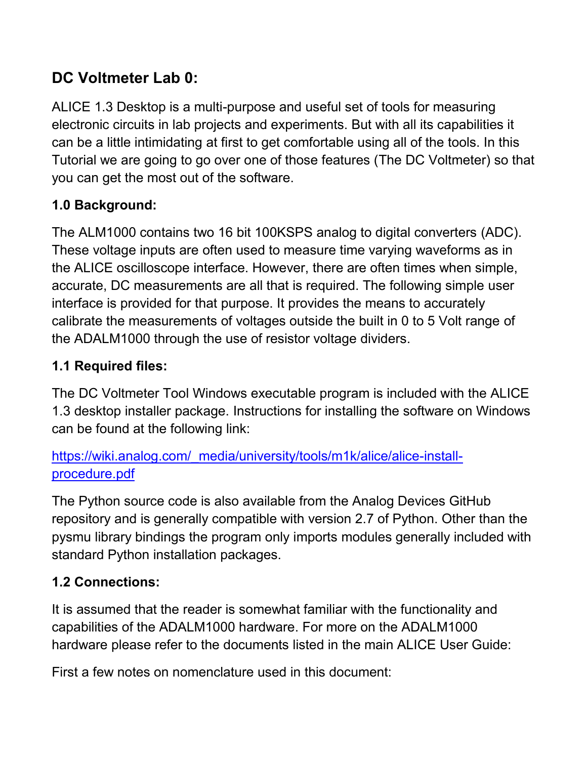# **DC Voltmeter Lab 0:**

ALICE 1.3 Desktop is a multi-purpose and useful set of tools for measuring electronic circuits in lab projects and experiments. But with all its capabilities it can be a little intimidating at first to get comfortable using all of the tools. In this Tutorial we are going to go over one of those features (The DC Voltmeter) so that you can get the most out of the software.

# **1.0 Background:**

The ALM1000 contains two 16 bit 100KSPS analog to digital converters (ADC). These voltage inputs are often used to measure time varying waveforms as in the ALICE oscilloscope interface. However, there are often times when simple, accurate, DC measurements are all that is required. The following simple user interface is provided for that purpose. It provides the means to accurately calibrate the measurements of voltages outside the built in 0 to 5 Volt range of the ADALM1000 through the use of resistor voltage dividers.

# **1.1 Required files:**

The DC Voltmeter Tool Windows executable program is included with the ALICE 1.3 desktop installer package. Instructions for installing the software on Windows can be found at the following link:

https://wiki.analog.com/ media/university/tools/m1k/alice/alice-install[procedure.pdf](https://wiki.analog.com/_media/university/tools/m1k/alice/alice-install-procedure.pdf)

The Python source code is also available from the Analog Devices GitHub repository and is generally compatible with version 2.7 of Python. Other than the pysmu library bindings the program only imports modules generally included with standard Python installation packages.

# **1.2 Connections:**

It is assumed that the reader is somewhat familiar with the functionality and capabilities of the ADALM1000 hardware. For more on the ADALM1000 hardware please refer to the documents listed in the main ALICE User Guide:

First a few notes on nomenclature used in this document: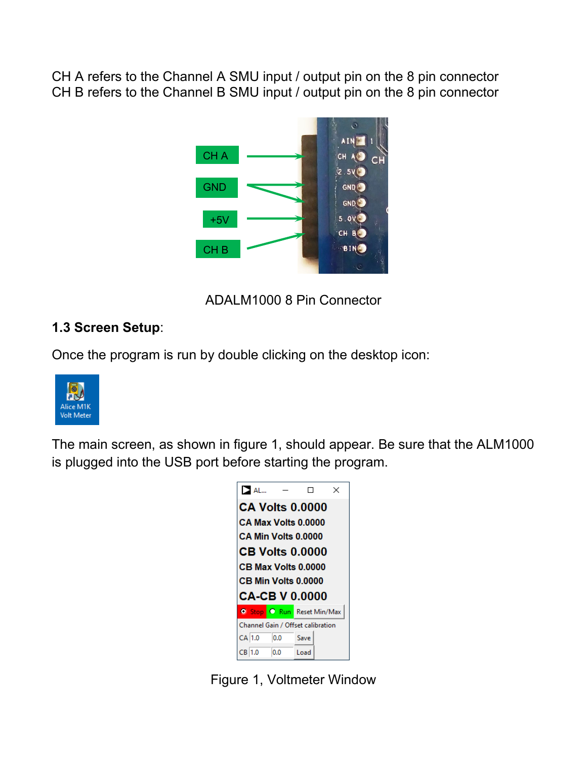CH A refers to the Channel A SMU input / output pin on the 8 pin connector CH B refers to the Channel B SMU input / output pin on the 8 pin connector



ADALM1000 8 Pin Connector

#### **1.3 Screen Setup**:

Once the program is run by double clicking on the desktop icon:



The main screen, as shown in figure 1, should appear. Be sure that the ALM1000 is plugged into the USB port before starting the program.



Figure 1, Voltmeter Window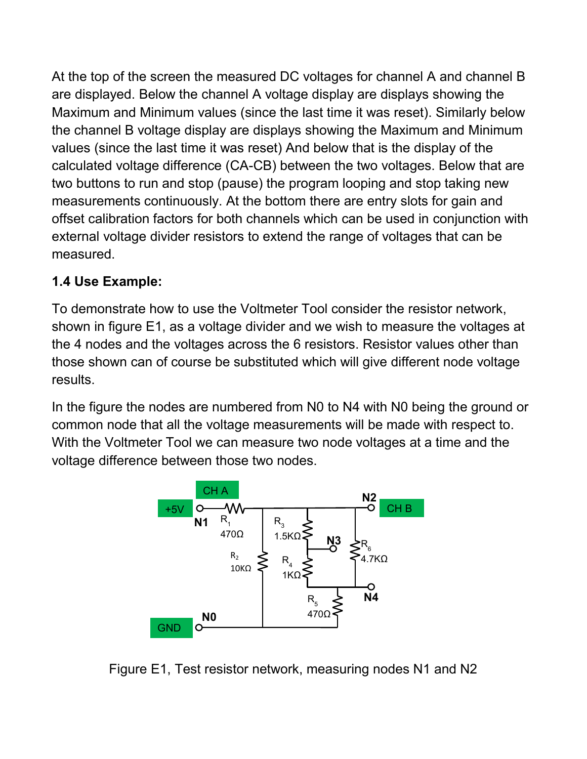At the top of the screen the measured DC voltages for channel A and channel B are displayed. Below the channel A voltage display are displays showing the Maximum and Minimum values (since the last time it was reset). Similarly below the channel B voltage display are displays showing the Maximum and Minimum values (since the last time it was reset) And below that is the display of the calculated voltage difference (CA-CB) between the two voltages. Below that are two buttons to run and stop (pause) the program looping and stop taking new measurements continuously. At the bottom there are entry slots for gain and offset calibration factors for both channels which can be used in conjunction with external voltage divider resistors to extend the range of voltages that can be measured.

# **1.4 Use Example:**

To demonstrate how to use the Voltmeter Tool consider the resistor network, shown in figure E1, as a voltage divider and we wish to measure the voltages at the 4 nodes and the voltages across the 6 resistors. Resistor values other than those shown can of course be substituted which will give different node voltage results.

In the figure the nodes are numbered from N0 to N4 with N0 being the ground or common node that all the voltage measurements will be made with respect to. With the Voltmeter Tool we can measure two node voltages at a time and the voltage difference between those two nodes.



Figure E1, Test resistor network, measuring nodes N1 and N2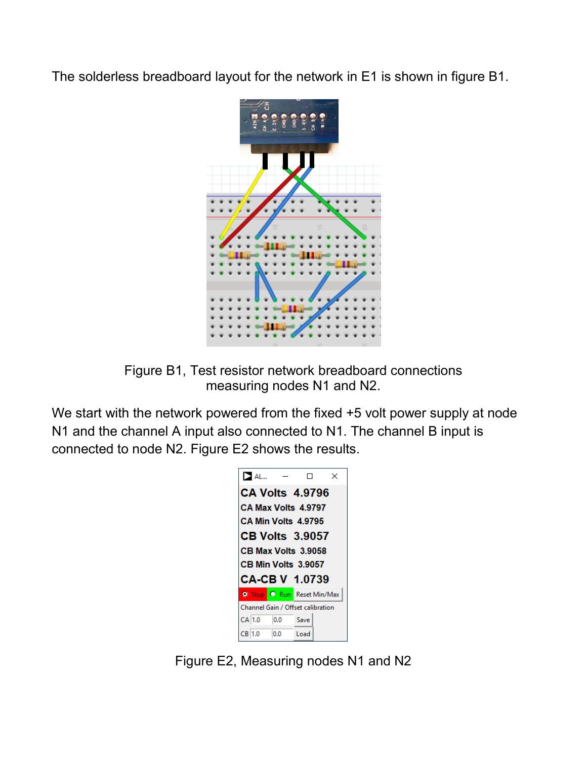The solderless breadboard layout for the network in E1 is shown in figure B1.





We start with the network powered from the fixed +5 volt power supply at node N1 and the channel A input also connected to N1. The channel B input is connected to node N2. Figure E2 shows the results.



Figure E2, Measuring nodes N1 and N2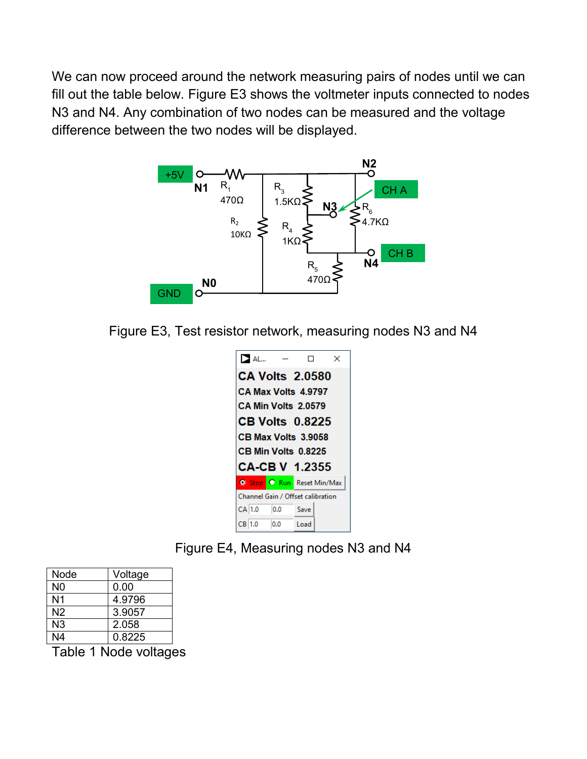We can now proceed around the network measuring pairs of nodes until we can fill out the table below. Figure E3 shows the voltmeter inputs connected to nodes N3 and N4. Any combination of two nodes can be measured and the voltage difference between the two nodes will be displayed.



Figure E3, Test resistor network, measuring nodes N3 and N4



Figure E4, Measuring nodes N3 and N4

| Node           | Voltage |
|----------------|---------|
| N <sub>0</sub> | 0.00    |
| N <sub>1</sub> | 4.9796  |
| N <sub>2</sub> | 3.9057  |
| N3             | 2.058   |
| N4             | 0.8225  |

Table 1 Node voltages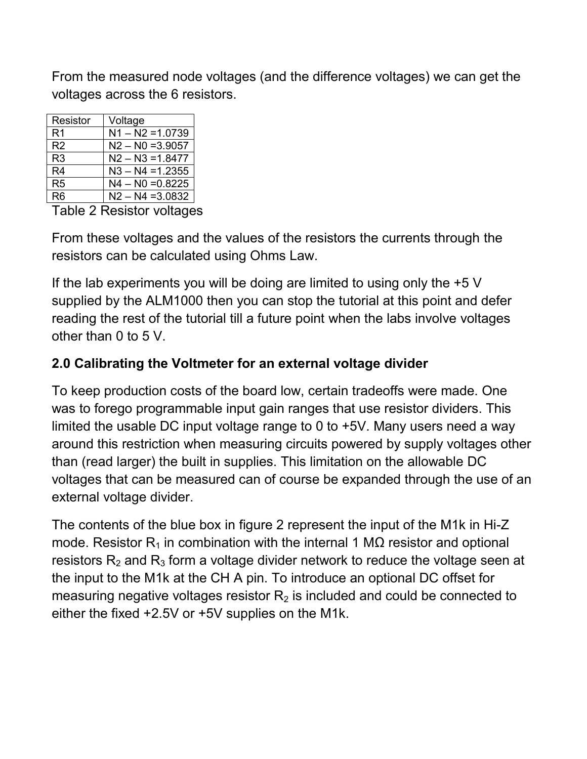From the measured node voltages (and the difference voltages) we can get the voltages across the 6 resistors.

| Resistor       | Voltage            |
|----------------|--------------------|
| R <sub>1</sub> | $N1 - N2 = 1.0739$ |
| R <sub>2</sub> | $N2 - N0 = 3.9057$ |
| R <sub>3</sub> | $N2 - N3 = 1.8477$ |
| R <sub>4</sub> | $N3 - N4 = 1.2355$ |
| R <sub>5</sub> | $N4 - N0 = 0.8225$ |
| Rĥ             | $N2 - N4 = 3.0832$ |

Table 2 Resistor voltages

From these voltages and the values of the resistors the currents through the resistors can be calculated using Ohms Law.

If the lab experiments you will be doing are limited to using only the +5 V supplied by the ALM1000 then you can stop the tutorial at this point and defer reading the rest of the tutorial till a future point when the labs involve voltages other than 0 to 5 V.

### **2.0 Calibrating the Voltmeter for an external voltage divider**

To keep production costs of the board low, certain tradeoffs were made. One was to forego programmable input gain ranges that use resistor dividers. This limited the usable DC input voltage range to 0 to +5V. Many users need a way around this restriction when measuring circuits powered by supply voltages other than (read larger) the built in supplies. This limitation on the allowable DC voltages that can be measured can of course be expanded through the use of an external voltage divider.

The contents of the blue box in figure 2 represent the input of the M1k in Hi-Z mode. Resistor R<sub>1</sub> in combination with the internal 1 MΩ resistor and optional resistors  $R_2$  and  $R_3$  form a voltage divider network to reduce the voltage seen at the input to the M1k at the CH A pin. To introduce an optional DC offset for measuring negative voltages resistor  $R<sub>2</sub>$  is included and could be connected to either the fixed +2.5V or +5V supplies on the M1k.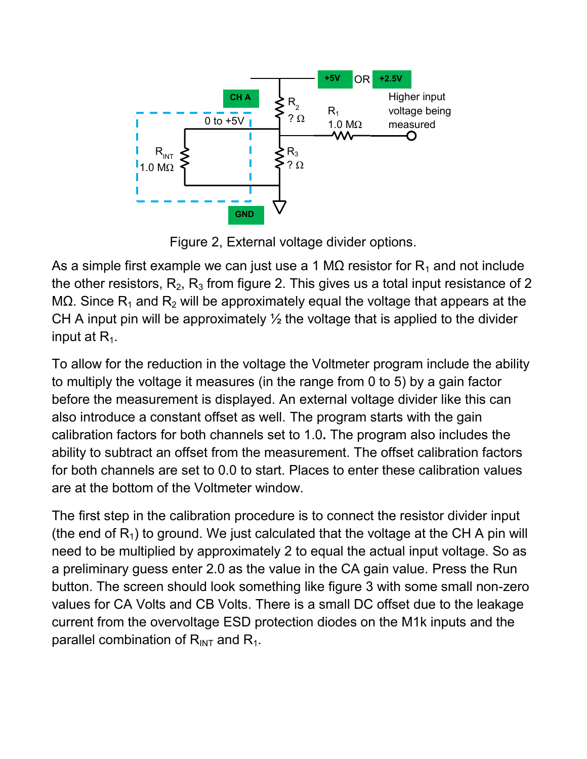

Figure 2, External voltage divider options.

As a simple first example we can just use a 1 M $\Omega$  resistor for R<sub>1</sub> and not include the other resistors,  $R_2$ ,  $R_3$  from figure 2. This gives us a total input resistance of 2 MΩ. Since R<sub>1</sub> and R<sub>2</sub> will be approximately equal the voltage that appears at the CH A input pin will be approximately  $\frac{1}{2}$  the voltage that is applied to the divider input at  $R_1$ .

To allow for the reduction in the voltage the Voltmeter program include the ability to multiply the voltage it measures (in the range from 0 to 5) by a gain factor before the measurement is displayed. An external voltage divider like this can also introduce a constant offset as well. The program starts with the gain calibration factors for both channels set to 1.0**.** The program also includes the ability to subtract an offset from the measurement. The offset calibration factors for both channels are set to 0.0 to start. Places to enter these calibration values are at the bottom of the Voltmeter window.

The first step in the calibration procedure is to connect the resistor divider input (the end of  $R_1$ ) to ground. We just calculated that the voltage at the CH A pin will need to be multiplied by approximately 2 to equal the actual input voltage. So as a preliminary guess enter 2.0 as the value in the CA gain value. Press the Run button. The screen should look something like figure 3 with some small non-zero values for CA Volts and CB Volts. There is a small DC offset due to the leakage current from the overvoltage ESD protection diodes on the M1k inputs and the parallel combination of  $R_{INT}$  and  $R_1$ .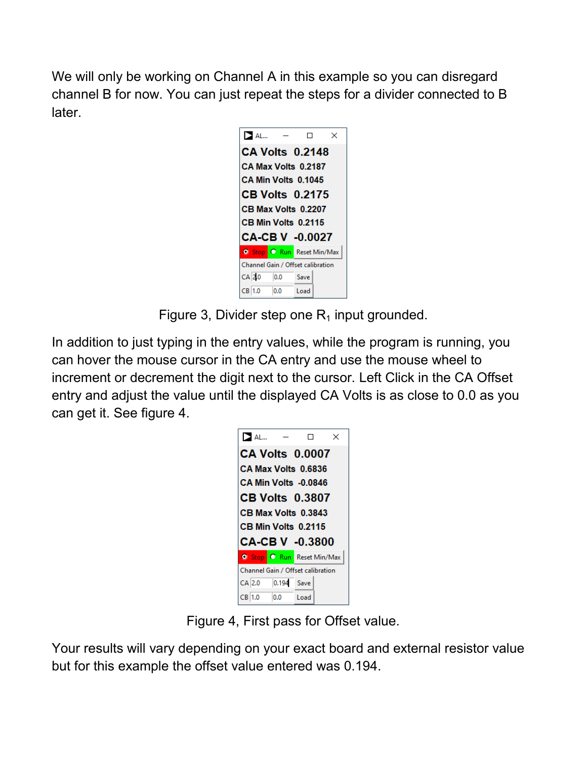We will only be working on Channel A in this example so you can disregard channel B for now. You can just repeat the steps for a divider connected to B later.



Figure 3, Divider step one  $R_1$  input grounded.

In addition to just typing in the entry values, while the program is running, you can hover the mouse cursor in the CA entry and use the mouse wheel to increment or decrement the digit next to the cursor. Left Click in the CA Offset entry and adjust the value until the displayed CA Volts is as close to 0.0 as you can get it. See figure 4.

| $\geq$ AL                         |                        |      | $\times$ |  |  |  |
|-----------------------------------|------------------------|------|----------|--|--|--|
|                                   | <b>CA Volts 0.0007</b> |      |          |  |  |  |
|                                   | CA Max Volts 0.6836    |      |          |  |  |  |
| CA Min Volts -0.0846              |                        |      |          |  |  |  |
| <b>CB Volts 0.3807</b>            |                        |      |          |  |  |  |
|                                   | CB Max Volts 0.3843    |      |          |  |  |  |
|                                   | CB Min Volts 0.2115    |      |          |  |  |  |
| <b>CA-CB V -0.3800</b>            |                        |      |          |  |  |  |
| <b>O</b> Stop C Run Reset Min/Max |                        |      |          |  |  |  |
| Channel Gain / Offset calibration |                        |      |          |  |  |  |
| CA 2.0                            | 0.194 Save             |      |          |  |  |  |
| CB 1.0                            | 0.0                    | Load |          |  |  |  |

Figure 4, First pass for Offset value.

Your results will vary depending on your exact board and external resistor value but for this example the offset value entered was 0.194.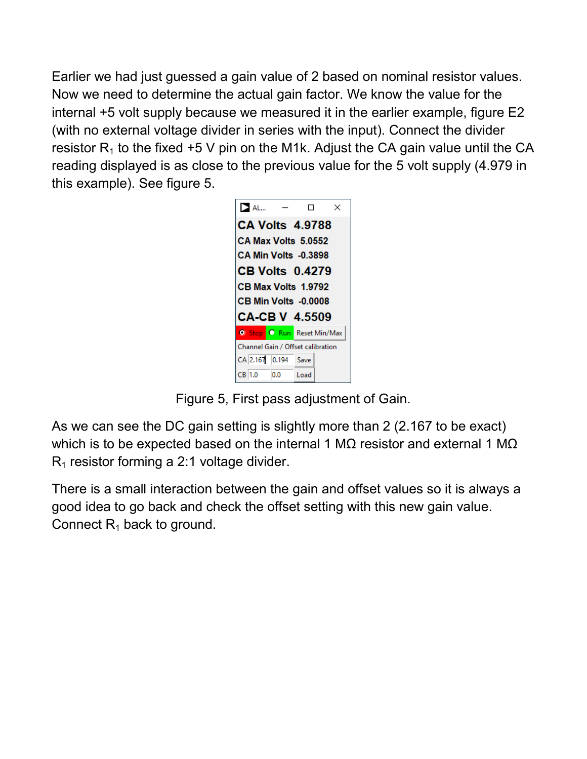Earlier we had just guessed a gain value of 2 based on nominal resistor values. Now we need to determine the actual gain factor. We know the value for the internal +5 volt supply because we measured it in the earlier example, figure E2 (with no external voltage divider in series with the input). Connect the divider resistor  $R_1$  to the fixed +5 V pin on the M1k. Adjust the CA gain value until the CA reading displayed is as close to the previous value for the 5 volt supply (4.979 in this example). See figure 5.



Figure 5, First pass adjustment of Gain.

As we can see the DC gain setting is slightly more than 2 (2.167 to be exact) which is to be expected based on the internal 1 M $\Omega$  resistor and external 1 M $\Omega$  $R_1$  resistor forming a 2:1 voltage divider.

There is a small interaction between the gain and offset values so it is always a good idea to go back and check the offset setting with this new gain value. Connect  $R_1$  back to ground.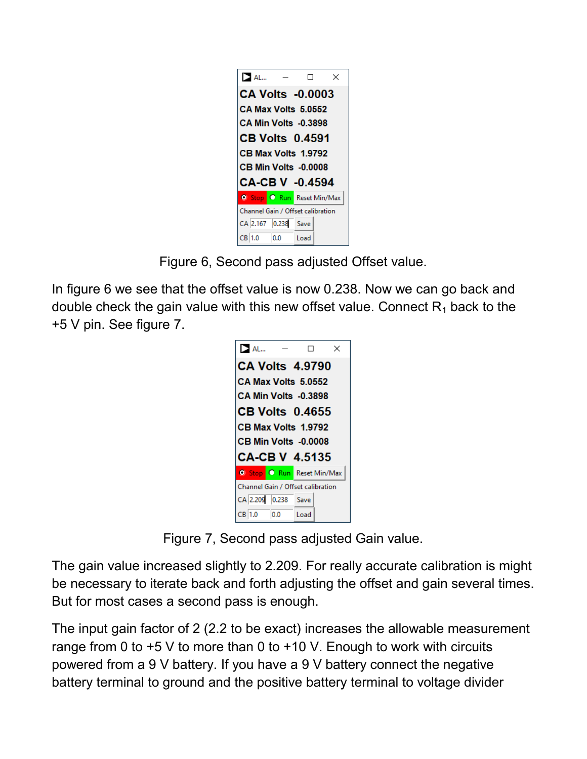| $\sum$ AL                         |                         |  | $\times$ |  |  |
|-----------------------------------|-------------------------|--|----------|--|--|
|                                   | <b>CA Volts -0.0003</b> |  |          |  |  |
| CA Max Volts 5.0552               |                         |  |          |  |  |
| CA Min Volts -0.3898              |                         |  |          |  |  |
| <b>CB Volts 0.4591</b>            |                         |  |          |  |  |
| CB Max Volts 1.9792               |                         |  |          |  |  |
| CB Min Volts -0.0008              |                         |  |          |  |  |
| CA-CB V -0.4594                   |                         |  |          |  |  |
|                                   |                         |  |          |  |  |
| <b>O</b> Stop C Run Reset Min/Max |                         |  |          |  |  |
| Channel Gain / Offset calibration |                         |  |          |  |  |
| CA 2.167 0.238 Save               |                         |  |          |  |  |

Figure 6, Second pass adjusted Offset value.

In figure 6 we see that the offset value is now 0.238. Now we can go back and double check the gain value with this new offset value. Connect  $R_1$  back to the +5 V pin. See figure 7.

| $\geq$ AL                         | $\times$ |  |  |  |
|-----------------------------------|----------|--|--|--|
| <b>CA Volts 4.9790</b>            |          |  |  |  |
| CA Max Volts 5.0552               |          |  |  |  |
| <b>CA Min Volts -0.3898</b>       |          |  |  |  |
| <b>CB Volts 0.4655</b>            |          |  |  |  |
| CB Max Volts 1.9792               |          |  |  |  |
| CB Min Volts -0.0008              |          |  |  |  |
| CA-CB V  4.5135                   |          |  |  |  |
| <b>O</b> Stop C Run Reset Min/Max |          |  |  |  |
| Channel Gain / Offset calibration |          |  |  |  |
| CA 2.209 0.238 Save               |          |  |  |  |
| 0.0<br>CB 1.0                     | Load     |  |  |  |

Figure 7, Second pass adjusted Gain value.

The gain value increased slightly to 2.209. For really accurate calibration is might be necessary to iterate back and forth adjusting the offset and gain several times. But for most cases a second pass is enough.

The input gain factor of 2 (2.2 to be exact) increases the allowable measurement range from 0 to  $+5$  V to more than 0 to  $+10$  V. Enough to work with circuits powered from a 9 V battery. If you have a 9 V battery connect the negative battery terminal to ground and the positive battery terminal to voltage divider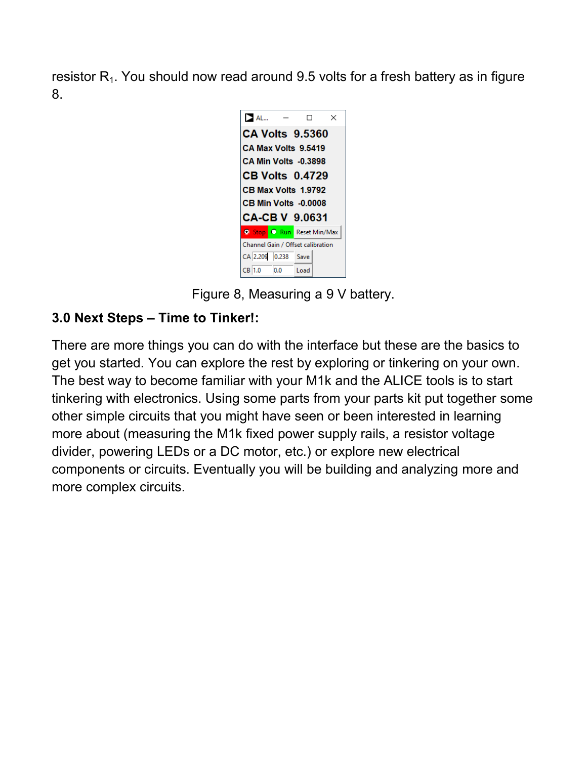resistor  $R_1$ . You should now read around 9.5 volts for a fresh battery as in figure 8.



Figure 8, Measuring a 9 V battery.

#### **3.0 Next Steps – Time to Tinker!:**

There are more things you can do with the interface but these are the basics to get you started. You can explore the rest by exploring or tinkering on your own. The best way to become familiar with your M1k and the ALICE tools is to start tinkering with electronics. Using some parts from your parts kit put together some other simple circuits that you might have seen or been interested in learning more about (measuring the M1k fixed power supply rails, a resistor voltage divider, powering LEDs or a DC motor, etc.) or explore new electrical components or circuits. Eventually you will be building and analyzing more and more complex circuits.